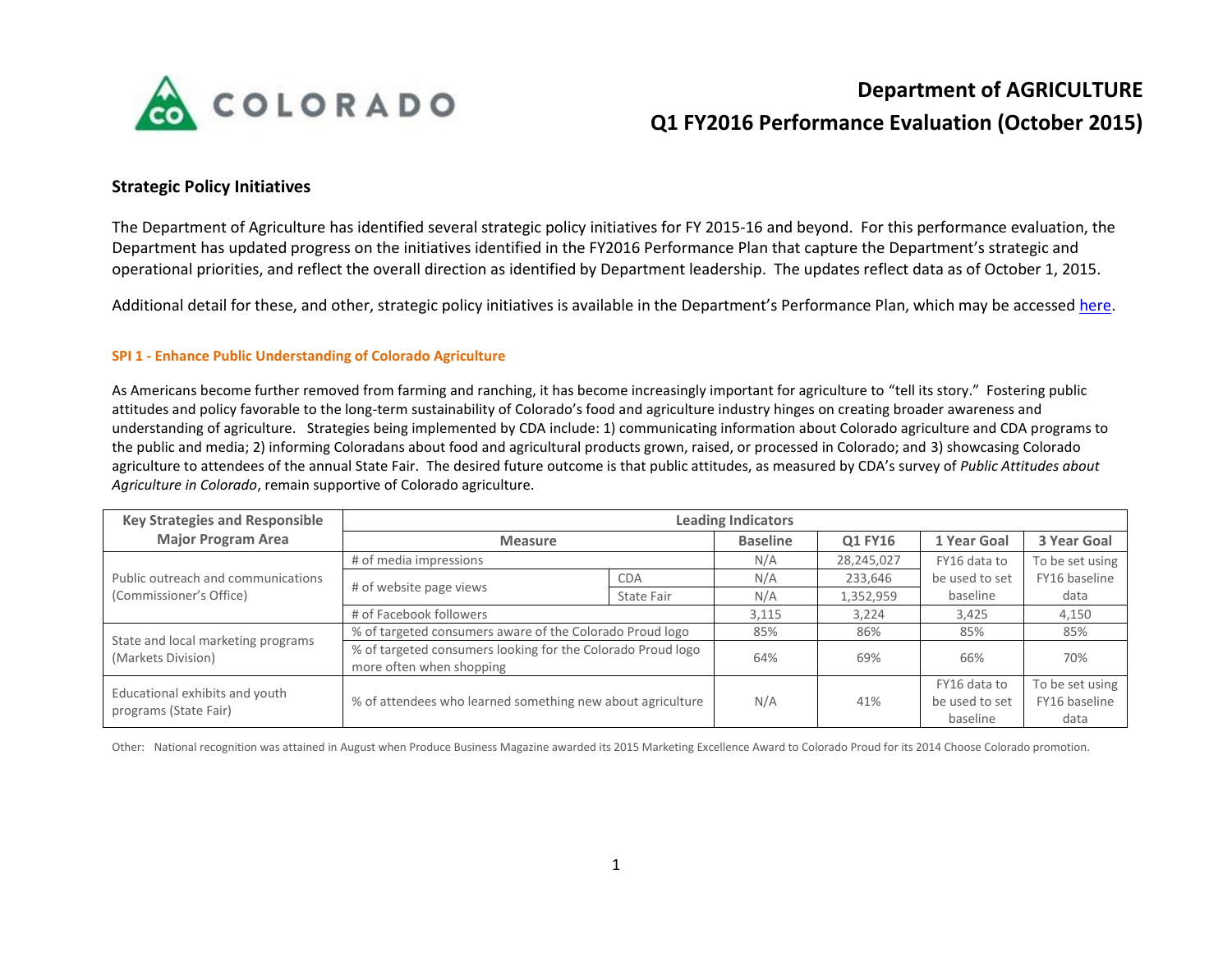

### **Strategic Policy Initiatives**

The Department of Agriculture has identified several strategic policy initiatives for FY 2015-16 and beyond. For this performance evaluation, the Department has updated progress on the initiatives identified in the FY2016 Performance Plan that capture the Department's strategic and operational priorities, and reflect the overall direction as identified by Department leadership. The updates reflect data as of October 1, 2015.

Additional detail for these, and other, strategic policy initiatives is available in the Department's Performance Plan, which may be accessed [here.](https://sites.google.com/a/state.co.us/colorado-performance-management/department-performance-plans)

#### **SPI 1 - Enhance Public Understanding of Colorado Agriculture**

As Americans become further removed from farming and ranching, it has become increasingly important for agriculture to "tell its story." Fostering public attitudes and policy favorable to the long-term sustainability of Colorado's food and agriculture industry hinges on creating broader awareness and understanding of agriculture. Strategies being implemented by CDA include: 1) communicating information about Colorado agriculture and CDA programs to the public and media; 2) informing Coloradans about food and agricultural products grown, raised, or processed in Colorado; and 3) showcasing Colorado agriculture to attendees of the annual State Fair. The desired future outcome is that public attitudes, as measured by CDA's survey of *Public Attitudes about Agriculture in Colorado*, remain supportive of Colorado agriculture.

| <b>Key Strategies and Responsible</b>                                                                                                               |                                                            | <b>Leading Indicators</b> |                 |            |                                            |                                          |
|-----------------------------------------------------------------------------------------------------------------------------------------------------|------------------------------------------------------------|---------------------------|-----------------|------------|--------------------------------------------|------------------------------------------|
| <b>Major Program Area</b>                                                                                                                           | <b>Measure</b>                                             |                           | <b>Baseline</b> | Q1 FY16    | 1 Year Goal                                | 3 Year Goal                              |
|                                                                                                                                                     | # of media impressions                                     |                           | N/A             | 28,245,027 | FY16 data to                               | To be set using                          |
| Public outreach and communications<br>(Commissioner's Office)                                                                                       | # of website page views                                    | <b>CDA</b>                | N/A             | 233,646    | be used to set                             | FY16 baseline                            |
|                                                                                                                                                     |                                                            | State Fair                | N/A             | 1,352,959  | baseline                                   | data                                     |
|                                                                                                                                                     | # of Facebook followers                                    |                           | 3,115           | 3.224      | 3,425                                      | 4,150                                    |
|                                                                                                                                                     | % of targeted consumers aware of the Colorado Proud logo   |                           | 85%             | 86%        | 85%                                        | 85%                                      |
| State and local marketing programs<br>% of targeted consumers looking for the Colorado Proud logo<br>(Markets Division)<br>more often when shopping |                                                            | 64%                       | 69%             | 66%        | 70%                                        |                                          |
| Educational exhibits and youth<br>programs (State Fair)                                                                                             | % of attendees who learned something new about agriculture |                           | N/A             | 41%        | FY16 data to<br>be used to set<br>baseline | To be set using<br>FY16 baseline<br>data |

Other: National recognition was attained in August when Produce Business Magazine awarded its 2015 Marketing Excellence Award to Colorado Proud for its 2014 Choose Colorado promotion.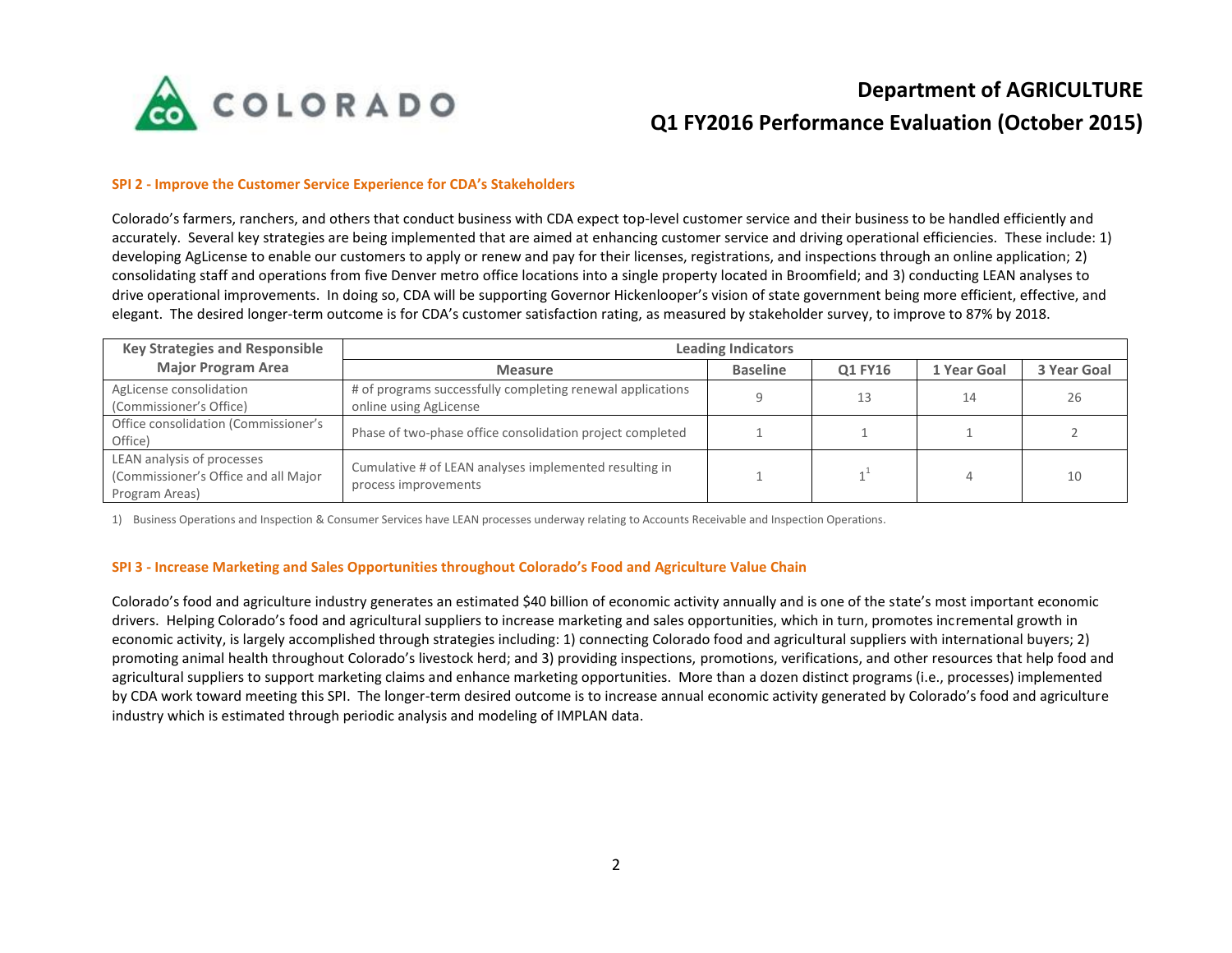

#### **SPI 2 - Improve the Customer Service Experience for CDA's Stakeholders**

Colorado's farmers, ranchers, and others that conduct business with CDA expect top-level customer service and their business to be handled efficiently and accurately. Several key strategies are being implemented that are aimed at enhancing customer service and driving operational efficiencies. These include: 1) developing AgLicense to enable our customers to apply or renew and pay for their licenses, registrations, and inspections through an online application; 2) consolidating staff and operations from five Denver metro office locations into a single property located in Broomfield; and 3) conducting LEAN analyses to drive operational improvements. In doing so, CDA will be supporting Governor Hickenlooper's vision of state government being more efficient, effective, and elegant. The desired longer-term outcome is for CDA's customer satisfaction rating, as measured by stakeholder survey, to improve to 87% by 2018.

| <b>Key Strategies and Responsible</b>                                                | <b>Leading Indicators</b>                                                            |                 |         |             |             |
|--------------------------------------------------------------------------------------|--------------------------------------------------------------------------------------|-----------------|---------|-------------|-------------|
| <b>Major Program Area</b>                                                            | <b>Measure</b>                                                                       | <b>Baseline</b> | Q1 FY16 | 1 Year Goal | 3 Year Goal |
| AgLicense consolidation<br>(Commissioner's Office)                                   | # of programs successfully completing renewal applications<br>online using AgLicense |                 |         | 14          | 26          |
| Office consolidation (Commissioner's<br>Office)                                      | Phase of two-phase office consolidation project completed                            |                 |         |             |             |
| LEAN analysis of processes<br>(Commissioner's Office and all Major<br>Program Areas) | Cumulative # of LEAN analyses implemented resulting in<br>process improvements       |                 |         |             | 10          |

1) Business Operations and Inspection & Consumer Services have LEAN processes underway relating to Accounts Receivable and Inspection Operations.

#### **SPI 3 - Increase Marketing and Sales Opportunities throughout Colorado's Food and Agriculture Value Chain**

Colorado's food and agriculture industry generates an estimated \$40 billion of economic activity annually and is one of the state's most important economic drivers. Helping Colorado's food and agricultural suppliers to increase marketing and sales opportunities, which in turn, promotes incremental growth in economic activity, is largely accomplished through strategies including: 1) connecting Colorado food and agricultural suppliers with international buyers; 2) promoting animal health throughout Colorado's livestock herd; and 3) providing inspections, promotions, verifications, and other resources that help food and agricultural suppliers to support marketing claims and enhance marketing opportunities. More than a dozen distinct programs (i.e., processes) implemented by CDA work toward meeting this SPI. The longer-term desired outcome is to increase annual economic activity generated by Colorado's food and agriculture industry which is estimated through periodic analysis and modeling of IMPLAN data.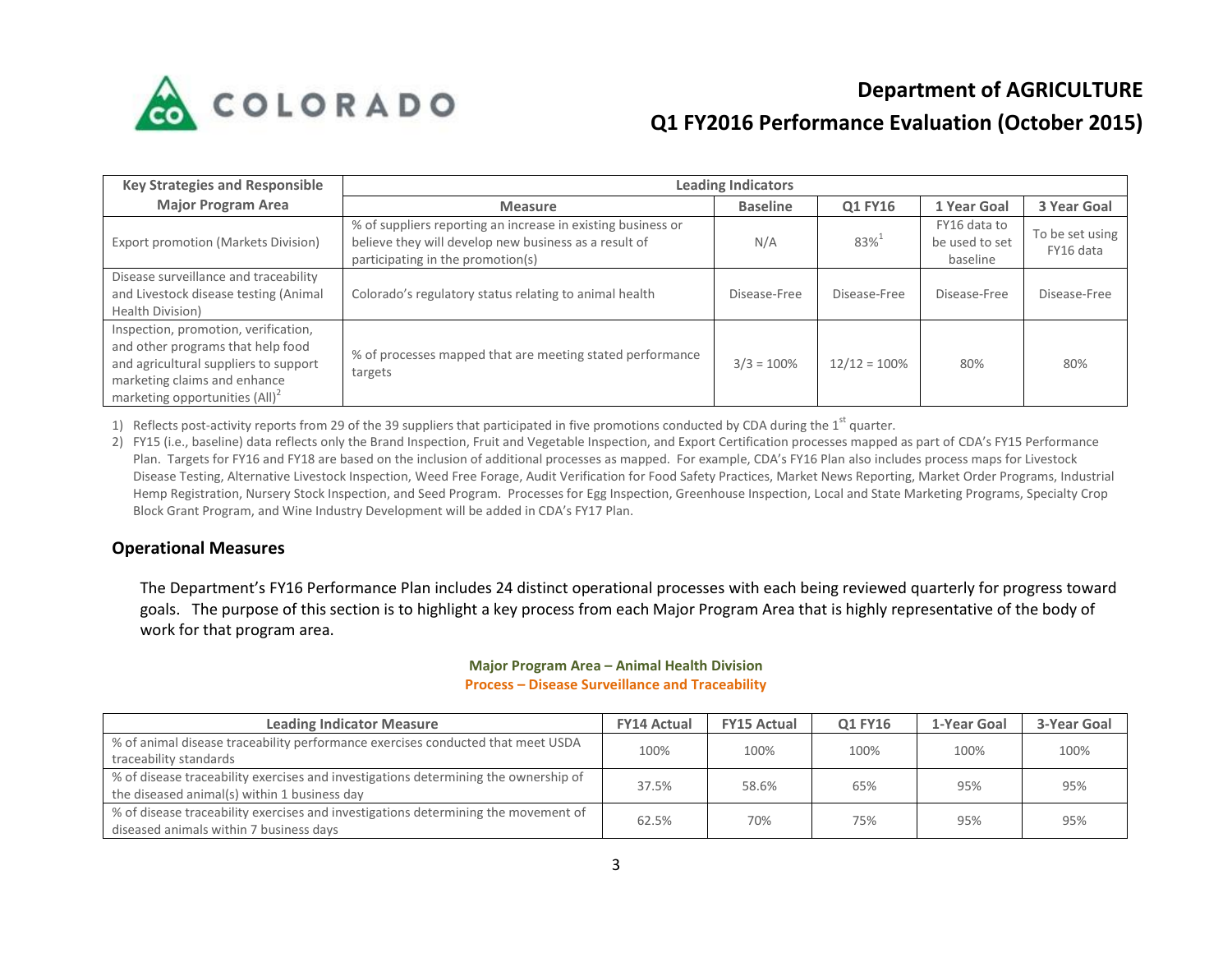

| <b>Key Strategies and Responsible</b>                                                                                                                                                            | <b>Leading Indicators</b>                                                                                                                                  |                 |                     |                                            |                              |
|--------------------------------------------------------------------------------------------------------------------------------------------------------------------------------------------------|------------------------------------------------------------------------------------------------------------------------------------------------------------|-----------------|---------------------|--------------------------------------------|------------------------------|
| <b>Major Program Area</b>                                                                                                                                                                        | <b>Measure</b>                                                                                                                                             | <b>Baseline</b> | Q1 FY16             | 1 Year Goal                                | 3 Year Goal                  |
| Export promotion (Markets Division)                                                                                                                                                              | % of suppliers reporting an increase in existing business or<br>believe they will develop new business as a result of<br>participating in the promotion(s) | N/A             | $83\%$ <sup>1</sup> | FY16 data to<br>be used to set<br>baseline | To be set using<br>FY16 data |
| Disease surveillance and traceability<br>and Livestock disease testing (Animal<br>Health Division)                                                                                               | Colorado's regulatory status relating to animal health                                                                                                     | Disease-Free    | Disease-Free        | Disease-Free                               | Disease-Free                 |
| Inspection, promotion, verification,<br>and other programs that help food<br>and agricultural suppliers to support<br>marketing claims and enhance<br>marketing opportunities (All) <sup>2</sup> | % of processes mapped that are meeting stated performance<br>targets                                                                                       | $3/3 = 100\%$   | $12/12 = 100\%$     | 80%                                        | 80%                          |

1) Reflects post-activity reports from 29 of the 39 suppliers that participated in five promotions conducted by CDA during the  $1<sup>st</sup>$  quarter.

2) FY15 (i.e., baseline) data reflects only the Brand Inspection, Fruit and Vegetable Inspection, and Export Certification processes mapped as part of CDA's FY15 Performance Plan. Targets for FY16 and FY18 are based on the inclusion of additional processes as mapped. For example, CDA's FY16 Plan also includes process maps for Livestock Disease Testing, Alternative Livestock Inspection, Weed Free Forage, Audit Verification for Food Safety Practices, Market News Reporting, Market Order Programs, Industrial Hemp Registration, Nursery Stock Inspection, and Seed Program. Processes for Egg Inspection, Greenhouse Inspection, Local and State Marketing Programs, Specialty Crop Block Grant Program, and Wine Industry Development will be added in CDA's FY17 Plan.

### **Operational Measures**

The Department's FY16 Performance Plan includes 24 distinct operational processes with each being reviewed quarterly for progress toward goals. The purpose of this section is to highlight a key process from each Major Program Area that is highly representative of the body of work for that program area.

#### **Major Program Area – Animal Health Division Process – Disease Surveillance and Traceability**

| <b>Leading Indicator Measure</b>                                                                                                    | <b>FY14 Actual</b> | <b>FY15 Actual</b> | Q1 FY16 | 1-Year Goal | 3-Year Goal |
|-------------------------------------------------------------------------------------------------------------------------------------|--------------------|--------------------|---------|-------------|-------------|
| % of animal disease traceability performance exercises conducted that meet USDA<br>traceability standards                           | 100%               | 100%               | 100%    | 100%        | 100%        |
| % of disease traceability exercises and investigations determining the ownership of<br>the diseased animal(s) within 1 business day | 37.5%              | 58.6%              | 65%     | 95%         | 95%         |
| % of disease traceability exercises and investigations determining the movement of<br>diseased animals within 7 business days       | 62.5%              | 70%                | 75%     | 95%         | 95%         |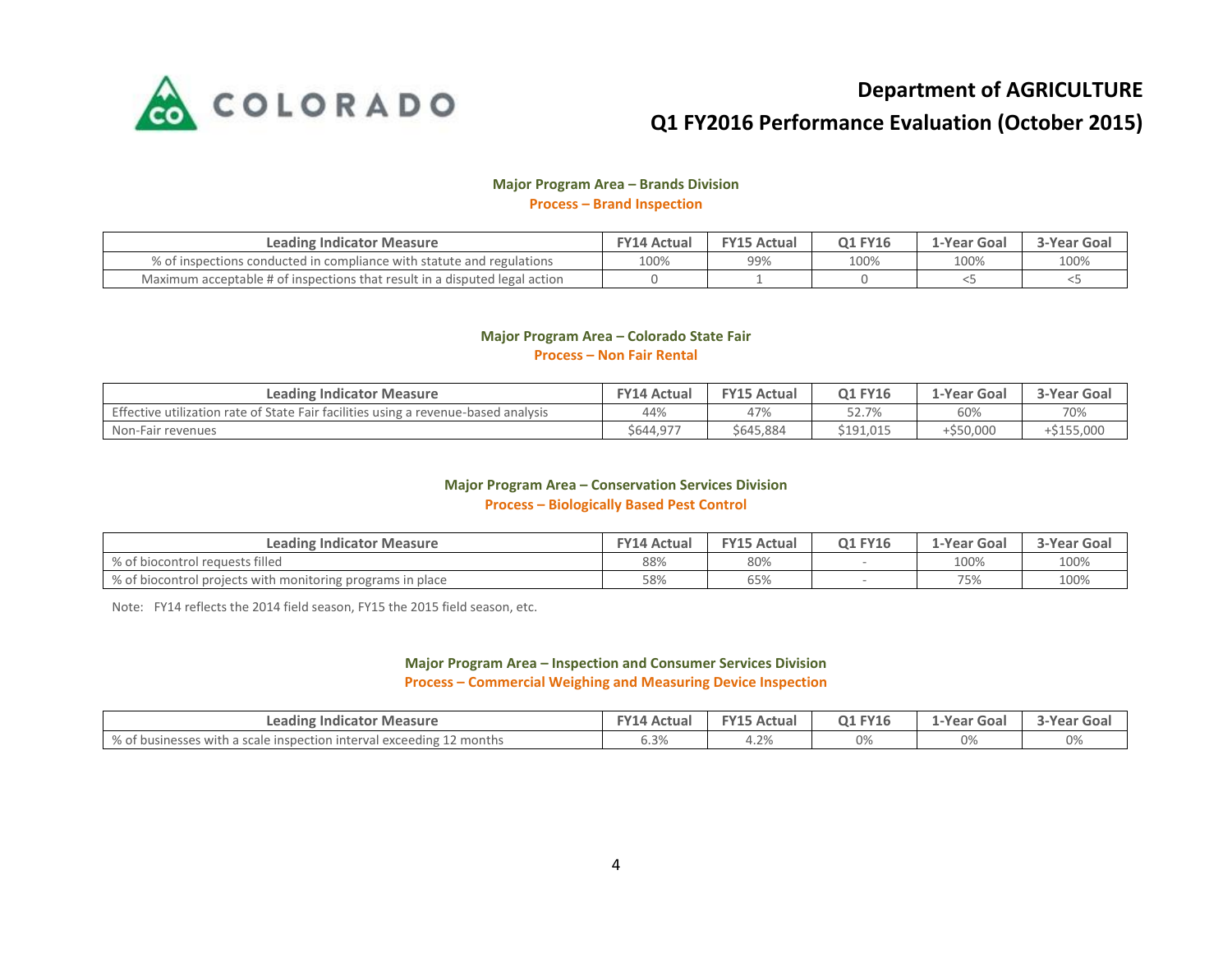

#### **Major Program Area – Brands Division Process – Brand Inspection**

| <b>Leading Indicator Measure</b>                                           | <b>FY14 Actual</b> | <b>FY15 Actual</b> | <b>Q1 FY16</b> | 1-Year Goal | <b>3-Year Goal</b> |
|----------------------------------------------------------------------------|--------------------|--------------------|----------------|-------------|--------------------|
| % of inspections conducted in compliance with statute and regulations      | 100%               | 99%                | 100%           | 100%        | 100%               |
| Maximum acceptable # of inspections that result in a disputed legal action |                    |                    |                |             |                    |

## **Major Program Area – Colorado State Fair Process – Non Fair Rental**

| <b>Leading Indicator Measure</b>                                                   | <b>FY14 Actual</b> | <b>FY15 Actual</b> | <b>Q1 FY16</b> | 1-Year Goal | 3-Year Goal |
|------------------------------------------------------------------------------------|--------------------|--------------------|----------------|-------------|-------------|
| Effective utilization rate of State Fair facilities using a revenue-based analysis | 44%                | 47%                | 52.7%          | 60%         | 70%         |
| Non-Fair revenues                                                                  | \$644.977          | \$645,884          | \$191,015      | 000,05≜⊦    | +\$155,000  |

#### **Major Program Area – Conservation Services Division**

#### **Process – Biologically Based Pest Control**

| <b>Leading Indicator Measure</b>                               | <b>FY14 Actual</b> | EY15 Actual | <b>Q1 FY16</b> | 1-Year Goal | 3-Year Goal |
|----------------------------------------------------------------|--------------------|-------------|----------------|-------------|-------------|
| f biocontrol requests filled                                   | 88%                | 80%         |                | 100%        | 100%        |
| f biocontrol projects with monitoring programs in place<br>10U | 58%                | 65%         |                | 75%         | 100%        |

Note: FY14 reflects the 2014 field season, FY15 the 2015 field season, etc.

### **Major Program Area – Inspection and Consumer Services Division Process – Commercial Weighing and Measuring Device Inspection**

| Leading Indicator Measure                                                   | EV <sub>1</sub><br>4 Actual<br>14. | <b>FY15 Actual</b>   | <b>Q1 FY16</b> | 1-Year<br>* Goai | `Year Goar |
|-----------------------------------------------------------------------------|------------------------------------|----------------------|----------------|------------------|------------|
| % of businesses with a scale inspection interval<br>! months<br>exceeding ' | $\bigcap$<br>0.J70                 | $\neg$<br>── - ∠ / ∪ | 0%             | 0%               |            |